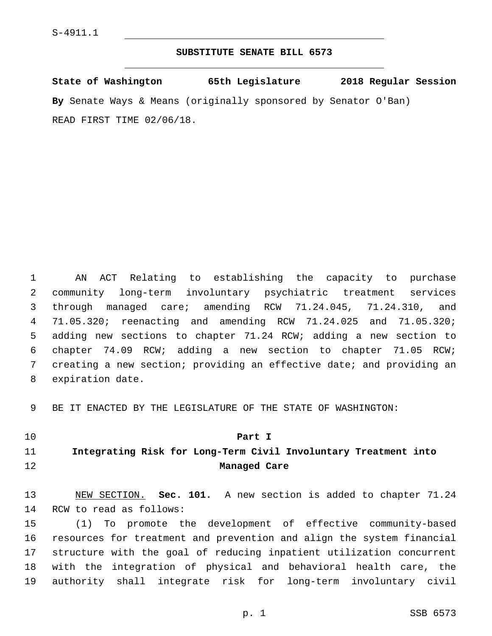### **SUBSTITUTE SENATE BILL 6573**

**State of Washington 65th Legislature 2018 Regular Session By** Senate Ways & Means (originally sponsored by Senator O'Ban) READ FIRST TIME 02/06/18.

 AN ACT Relating to establishing the capacity to purchase community long-term involuntary psychiatric treatment services through managed care; amending RCW 71.24.045, 71.24.310, and 71.05.320; reenacting and amending RCW 71.24.025 and 71.05.320; adding new sections to chapter 71.24 RCW; adding a new section to chapter 74.09 RCW; adding a new section to chapter 71.05 RCW; creating a new section; providing an effective date; and providing an 8 expiration date.

BE IT ENACTED BY THE LEGISLATURE OF THE STATE OF WASHINGTON:

#### **Part I**

# **Integrating Risk for Long-Term Civil Involuntary Treatment into Managed Care**

 NEW SECTION. **Sec. 101.** A new section is added to chapter 71.24 14 RCW to read as follows:

 (1) To promote the development of effective community-based resources for treatment and prevention and align the system financial structure with the goal of reducing inpatient utilization concurrent with the integration of physical and behavioral health care, the authority shall integrate risk for long-term involuntary civil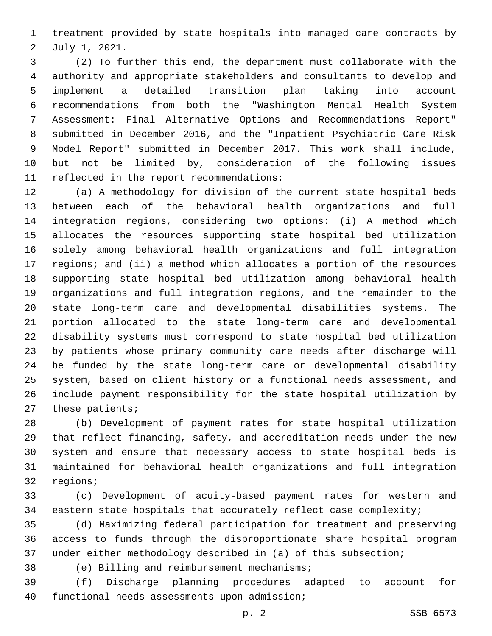treatment provided by state hospitals into managed care contracts by 2 July 1, 2021.

 (2) To further this end, the department must collaborate with the authority and appropriate stakeholders and consultants to develop and implement a detailed transition plan taking into account recommendations from both the "Washington Mental Health System Assessment: Final Alternative Options and Recommendations Report" submitted in December 2016, and the "Inpatient Psychiatric Care Risk Model Report" submitted in December 2017. This work shall include, but not be limited by, consideration of the following issues 11 reflected in the report recommendations:

 (a) A methodology for division of the current state hospital beds between each of the behavioral health organizations and full integration regions, considering two options: (i) A method which allocates the resources supporting state hospital bed utilization solely among behavioral health organizations and full integration regions; and (ii) a method which allocates a portion of the resources supporting state hospital bed utilization among behavioral health organizations and full integration regions, and the remainder to the state long-term care and developmental disabilities systems. The portion allocated to the state long-term care and developmental disability systems must correspond to state hospital bed utilization by patients whose primary community care needs after discharge will be funded by the state long-term care or developmental disability system, based on client history or a functional needs assessment, and include payment responsibility for the state hospital utilization by these patients;

 (b) Development of payment rates for state hospital utilization that reflect financing, safety, and accreditation needs under the new system and ensure that necessary access to state hospital beds is maintained for behavioral health organizations and full integration 32 regions;

 (c) Development of acuity-based payment rates for western and eastern state hospitals that accurately reflect case complexity;

 (d) Maximizing federal participation for treatment and preserving access to funds through the disproportionate share hospital program under either methodology described in (a) of this subsection;

38 (e) Billing and reimbursement mechanisms;

 (f) Discharge planning procedures adapted to account for 40 functional needs assessments upon admission;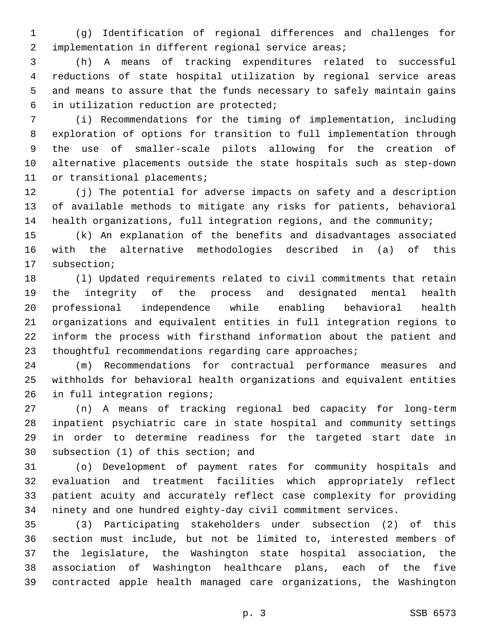(g) Identification of regional differences and challenges for implementation in different regional service areas;

 (h) A means of tracking expenditures related to successful reductions of state hospital utilization by regional service areas and means to assure that the funds necessary to safely maintain gains in utilization reduction are protected;6

 (i) Recommendations for the timing of implementation, including exploration of options for transition to full implementation through the use of smaller-scale pilots allowing for the creation of alternative placements outside the state hospitals such as step-down 11 or transitional placements;

 (j) The potential for adverse impacts on safety and a description of available methods to mitigate any risks for patients, behavioral health organizations, full integration regions, and the community;

 (k) An explanation of the benefits and disadvantages associated with the alternative methodologies described in (a) of this 17 subsection;

 (l) Updated requirements related to civil commitments that retain the integrity of the process and designated mental health professional independence while enabling behavioral health organizations and equivalent entities in full integration regions to inform the process with firsthand information about the patient and 23 thoughtful recommendations regarding care approaches;

 (m) Recommendations for contractual performance measures and withholds for behavioral health organizations and equivalent entities 26 in full integration regions;

 (n) A means of tracking regional bed capacity for long-term inpatient psychiatric care in state hospital and community settings in order to determine readiness for the targeted start date in 30 subsection (1) of this section; and

 (o) Development of payment rates for community hospitals and evaluation and treatment facilities which appropriately reflect patient acuity and accurately reflect case complexity for providing ninety and one hundred eighty-day civil commitment services.

 (3) Participating stakeholders under subsection (2) of this section must include, but not be limited to, interested members of the legislature, the Washington state hospital association, the association of Washington healthcare plans, each of the five contracted apple health managed care organizations, the Washington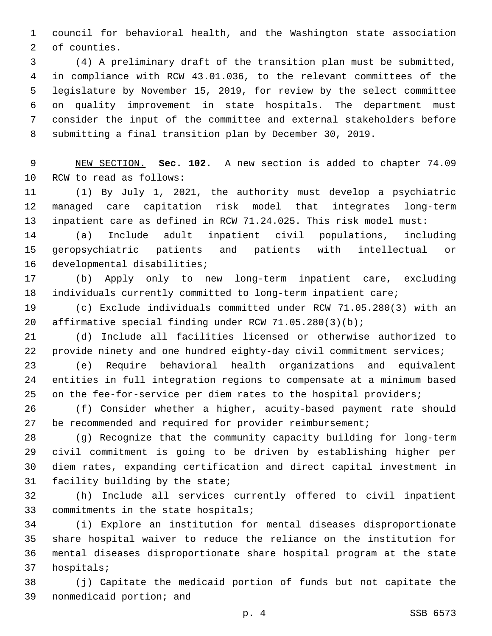council for behavioral health, and the Washington state association 2 of counties.

 (4) A preliminary draft of the transition plan must be submitted, in compliance with RCW 43.01.036, to the relevant committees of the legislature by November 15, 2019, for review by the select committee on quality improvement in state hospitals. The department must consider the input of the committee and external stakeholders before submitting a final transition plan by December 30, 2019.

 NEW SECTION. **Sec. 102.** A new section is added to chapter 74.09 10 RCW to read as follows:

 (1) By July 1, 2021, the authority must develop a psychiatric managed care capitation risk model that integrates long-term inpatient care as defined in RCW 71.24.025. This risk model must:

 (a) Include adult inpatient civil populations, including geropsychiatric patients and patients with intellectual or 16 developmental disabilities;

 (b) Apply only to new long-term inpatient care, excluding individuals currently committed to long-term inpatient care;

 (c) Exclude individuals committed under RCW 71.05.280(3) with an affirmative special finding under RCW 71.05.280(3)(b);

 (d) Include all facilities licensed or otherwise authorized to 22 provide ninety and one hundred eighty-day civil commitment services;

 (e) Require behavioral health organizations and equivalent entities in full integration regions to compensate at a minimum based 25 on the fee-for-service per diem rates to the hospital providers;

 (f) Consider whether a higher, acuity-based payment rate should 27 be recommended and required for provider reimbursement;

 (g) Recognize that the community capacity building for long-term civil commitment is going to be driven by establishing higher per diem rates, expanding certification and direct capital investment in 31 facility building by the state;

 (h) Include all services currently offered to civil inpatient 33 commitments in the state hospitals;

 (i) Explore an institution for mental diseases disproportionate share hospital waiver to reduce the reliance on the institution for mental diseases disproportionate share hospital program at the state 37 hospitals;

 (j) Capitate the medicaid portion of funds but not capitate the 39 nonmedicaid portion; and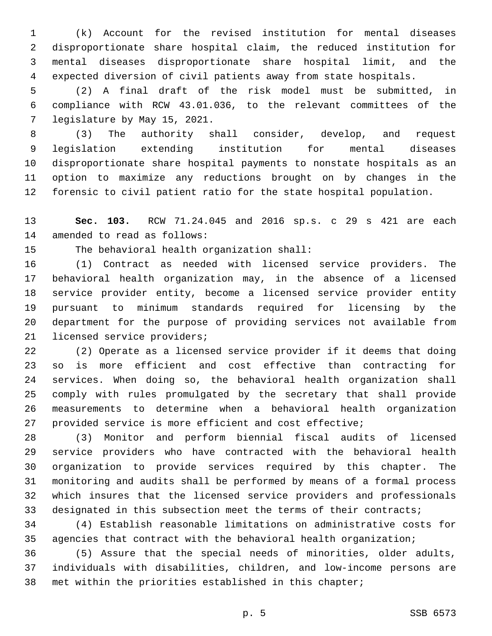(k) Account for the revised institution for mental diseases disproportionate share hospital claim, the reduced institution for mental diseases disproportionate share hospital limit, and the expected diversion of civil patients away from state hospitals.

 (2) A final draft of the risk model must be submitted, in compliance with RCW 43.01.036, to the relevant committees of the 7 legislature by May 15, 2021.

 (3) The authority shall consider, develop, and request legislation extending institution for mental diseases disproportionate share hospital payments to nonstate hospitals as an option to maximize any reductions brought on by changes in the forensic to civil patient ratio for the state hospital population.

 **Sec. 103.** RCW 71.24.045 and 2016 sp.s. c 29 s 421 are each 14 amended to read as follows:

15 The behavioral health organization shall:

 (1) Contract as needed with licensed service providers. The behavioral health organization may, in the absence of a licensed service provider entity, become a licensed service provider entity pursuant to minimum standards required for licensing by the department for the purpose of providing services not available from 21 licensed service providers;

 (2) Operate as a licensed service provider if it deems that doing so is more efficient and cost effective than contracting for services. When doing so, the behavioral health organization shall comply with rules promulgated by the secretary that shall provide measurements to determine when a behavioral health organization provided service is more efficient and cost effective;

 (3) Monitor and perform biennial fiscal audits of licensed service providers who have contracted with the behavioral health organization to provide services required by this chapter. The monitoring and audits shall be performed by means of a formal process which insures that the licensed service providers and professionals 33 designated in this subsection meet the terms of their contracts;

 (4) Establish reasonable limitations on administrative costs for agencies that contract with the behavioral health organization;

 (5) Assure that the special needs of minorities, older adults, individuals with disabilities, children, and low-income persons are met within the priorities established in this chapter;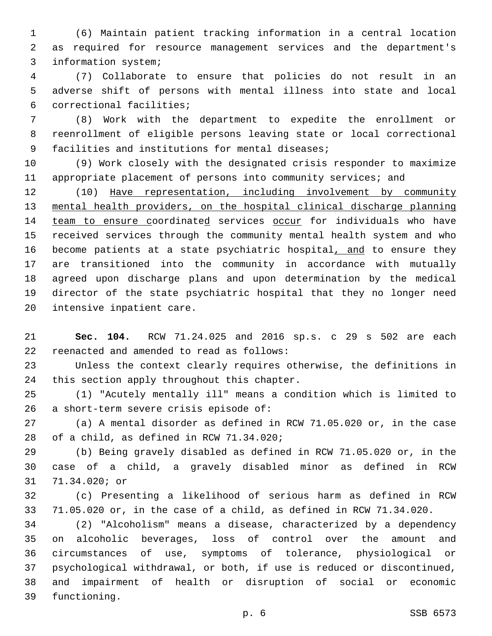(6) Maintain patient tracking information in a central location as required for resource management services and the department's 3 information system;

 (7) Collaborate to ensure that policies do not result in an adverse shift of persons with mental illness into state and local correctional facilities;6

 (8) Work with the department to expedite the enrollment or reenrollment of eligible persons leaving state or local correctional 9 facilities and institutions for mental diseases;

 (9) Work closely with the designated crisis responder to maximize appropriate placement of persons into community services; and

 (10) Have representation, including involvement by community mental health providers, on the hospital clinical discharge planning 14 team to ensure coordinated services occur for individuals who have received services through the community mental health system and who 16 become patients at a state psychiatric hospital, and to ensure they are transitioned into the community in accordance with mutually agreed upon discharge plans and upon determination by the medical director of the state psychiatric hospital that they no longer need 20 intensive inpatient care.

 **Sec. 104.** RCW 71.24.025 and 2016 sp.s. c 29 s 502 are each 22 reenacted and amended to read as follows:

 Unless the context clearly requires otherwise, the definitions in 24 this section apply throughout this chapter.

 (1) "Acutely mentally ill" means a condition which is limited to a short-term severe crisis episode of:

 (a) A mental disorder as defined in RCW 71.05.020 or, in the case 28 of a child, as defined in RCW  $71.34.020i$ 

 (b) Being gravely disabled as defined in RCW 71.05.020 or, in the case of a child, a gravely disabled minor as defined in RCW 31 71.34.020; or

 (c) Presenting a likelihood of serious harm as defined in RCW 71.05.020 or, in the case of a child, as defined in RCW 71.34.020.

 (2) "Alcoholism" means a disease, characterized by a dependency on alcoholic beverages, loss of control over the amount and circumstances of use, symptoms of tolerance, physiological or psychological withdrawal, or both, if use is reduced or discontinued, and impairment of health or disruption of social or economic 39 functioning.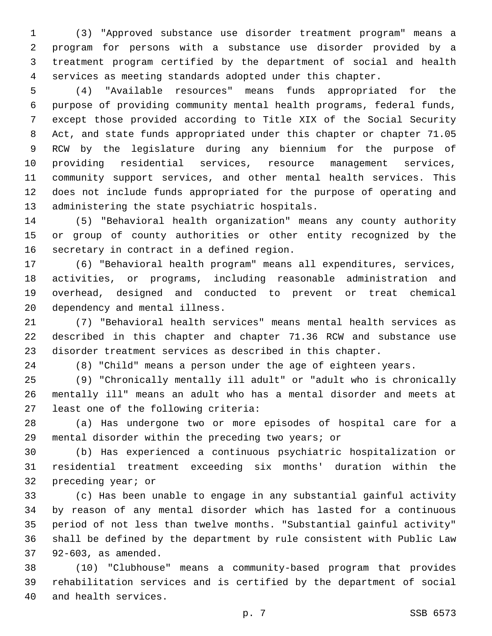(3) "Approved substance use disorder treatment program" means a program for persons with a substance use disorder provided by a treatment program certified by the department of social and health services as meeting standards adopted under this chapter.

 (4) "Available resources" means funds appropriated for the purpose of providing community mental health programs, federal funds, except those provided according to Title XIX of the Social Security Act, and state funds appropriated under this chapter or chapter 71.05 RCW by the legislature during any biennium for the purpose of providing residential services, resource management services, community support services, and other mental health services. This does not include funds appropriated for the purpose of operating and 13 administering the state psychiatric hospitals.

 (5) "Behavioral health organization" means any county authority or group of county authorities or other entity recognized by the 16 secretary in contract in a defined region.

 (6) "Behavioral health program" means all expenditures, services, activities, or programs, including reasonable administration and overhead, designed and conducted to prevent or treat chemical 20 dependency and mental illness.

 (7) "Behavioral health services" means mental health services as described in this chapter and chapter 71.36 RCW and substance use disorder treatment services as described in this chapter.

(8) "Child" means a person under the age of eighteen years.

 (9) "Chronically mentally ill adult" or "adult who is chronically mentally ill" means an adult who has a mental disorder and meets at 27 least one of the following criteria:

 (a) Has undergone two or more episodes of hospital care for a mental disorder within the preceding two years; or

 (b) Has experienced a continuous psychiatric hospitalization or residential treatment exceeding six months' duration within the 32 preceding year; or

 (c) Has been unable to engage in any substantial gainful activity by reason of any mental disorder which has lasted for a continuous period of not less than twelve months. "Substantial gainful activity" shall be defined by the department by rule consistent with Public Law 37 92-603, as amended.

 (10) "Clubhouse" means a community-based program that provides rehabilitation services and is certified by the department of social 40 and health services.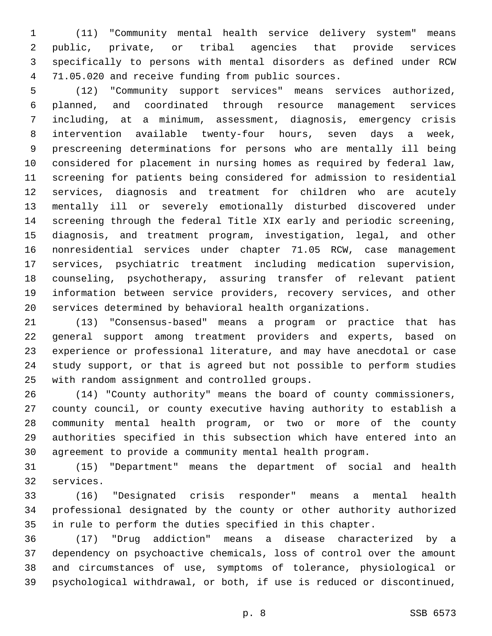(11) "Community mental health service delivery system" means public, private, or tribal agencies that provide services specifically to persons with mental disorders as defined under RCW 4 71.05.020 and receive funding from public sources.

 (12) "Community support services" means services authorized, planned, and coordinated through resource management services including, at a minimum, assessment, diagnosis, emergency crisis intervention available twenty-four hours, seven days a week, prescreening determinations for persons who are mentally ill being considered for placement in nursing homes as required by federal law, screening for patients being considered for admission to residential services, diagnosis and treatment for children who are acutely mentally ill or severely emotionally disturbed discovered under screening through the federal Title XIX early and periodic screening, diagnosis, and treatment program, investigation, legal, and other nonresidential services under chapter 71.05 RCW, case management services, psychiatric treatment including medication supervision, counseling, psychotherapy, assuring transfer of relevant patient information between service providers, recovery services, and other services determined by behavioral health organizations.

 (13) "Consensus-based" means a program or practice that has general support among treatment providers and experts, based on experience or professional literature, and may have anecdotal or case study support, or that is agreed but not possible to perform studies 25 with random assignment and controlled groups.

 (14) "County authority" means the board of county commissioners, county council, or county executive having authority to establish a community mental health program, or two or more of the county authorities specified in this subsection which have entered into an agreement to provide a community mental health program.

 (15) "Department" means the department of social and health 32 services.

 (16) "Designated crisis responder" means a mental health professional designated by the county or other authority authorized in rule to perform the duties specified in this chapter.

 (17) "Drug addiction" means a disease characterized by a dependency on psychoactive chemicals, loss of control over the amount and circumstances of use, symptoms of tolerance, physiological or psychological withdrawal, or both, if use is reduced or discontinued,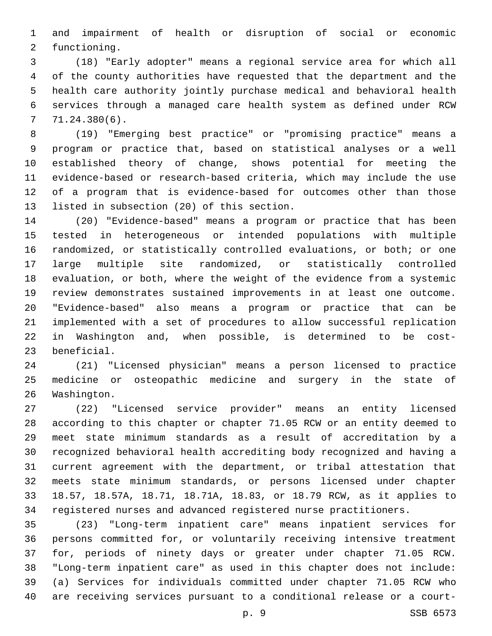and impairment of health or disruption of social or economic 2 functioning.

 (18) "Early adopter" means a regional service area for which all of the county authorities have requested that the department and the health care authority jointly purchase medical and behavioral health services through a managed care health system as defined under RCW  $77.24.380(6)$ .

 (19) "Emerging best practice" or "promising practice" means a program or practice that, based on statistical analyses or a well established theory of change, shows potential for meeting the evidence-based or research-based criteria, which may include the use of a program that is evidence-based for outcomes other than those 13 listed in subsection (20) of this section.

 (20) "Evidence-based" means a program or practice that has been tested in heterogeneous or intended populations with multiple randomized, or statistically controlled evaluations, or both; or one large multiple site randomized, or statistically controlled evaluation, or both, where the weight of the evidence from a systemic review demonstrates sustained improvements in at least one outcome. "Evidence-based" also means a program or practice that can be implemented with a set of procedures to allow successful replication in Washington and, when possible, is determined to be cost-23 beneficial.

 (21) "Licensed physician" means a person licensed to practice medicine or osteopathic medicine and surgery in the state of 26 Washington.

 (22) "Licensed service provider" means an entity licensed according to this chapter or chapter 71.05 RCW or an entity deemed to meet state minimum standards as a result of accreditation by a recognized behavioral health accrediting body recognized and having a current agreement with the department, or tribal attestation that meets state minimum standards, or persons licensed under chapter 18.57, 18.57A, 18.71, 18.71A, 18.83, or 18.79 RCW, as it applies to registered nurses and advanced registered nurse practitioners.

 (23) "Long-term inpatient care" means inpatient services for persons committed for, or voluntarily receiving intensive treatment for, periods of ninety days or greater under chapter 71.05 RCW. "Long-term inpatient care" as used in this chapter does not include: (a) Services for individuals committed under chapter 71.05 RCW who are receiving services pursuant to a conditional release or a court-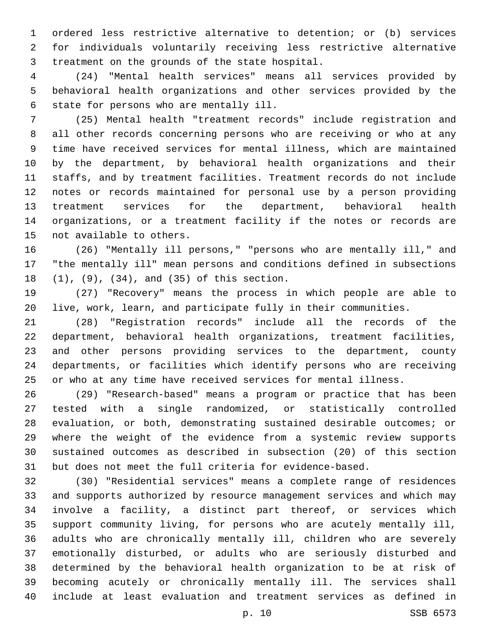ordered less restrictive alternative to detention; or (b) services for individuals voluntarily receiving less restrictive alternative 3 treatment on the grounds of the state hospital.

 (24) "Mental health services" means all services provided by behavioral health organizations and other services provided by the 6 state for persons who are mentally ill.

 (25) Mental health "treatment records" include registration and all other records concerning persons who are receiving or who at any time have received services for mental illness, which are maintained by the department, by behavioral health organizations and their staffs, and by treatment facilities. Treatment records do not include notes or records maintained for personal use by a person providing treatment services for the department, behavioral health organizations, or a treatment facility if the notes or records are 15 not available to others.

 (26) "Mentally ill persons," "persons who are mentally ill," and "the mentally ill" mean persons and conditions defined in subsections 18 (1), (9), (34), and (35) of this section.

 (27) "Recovery" means the process in which people are able to live, work, learn, and participate fully in their communities.

 (28) "Registration records" include all the records of the department, behavioral health organizations, treatment facilities, and other persons providing services to the department, county departments, or facilities which identify persons who are receiving or who at any time have received services for mental illness.

 (29) "Research-based" means a program or practice that has been tested with a single randomized, or statistically controlled evaluation, or both, demonstrating sustained desirable outcomes; or where the weight of the evidence from a systemic review supports sustained outcomes as described in subsection (20) of this section but does not meet the full criteria for evidence-based.

 (30) "Residential services" means a complete range of residences and supports authorized by resource management services and which may involve a facility, a distinct part thereof, or services which support community living, for persons who are acutely mentally ill, adults who are chronically mentally ill, children who are severely emotionally disturbed, or adults who are seriously disturbed and determined by the behavioral health organization to be at risk of becoming acutely or chronically mentally ill. The services shall include at least evaluation and treatment services as defined in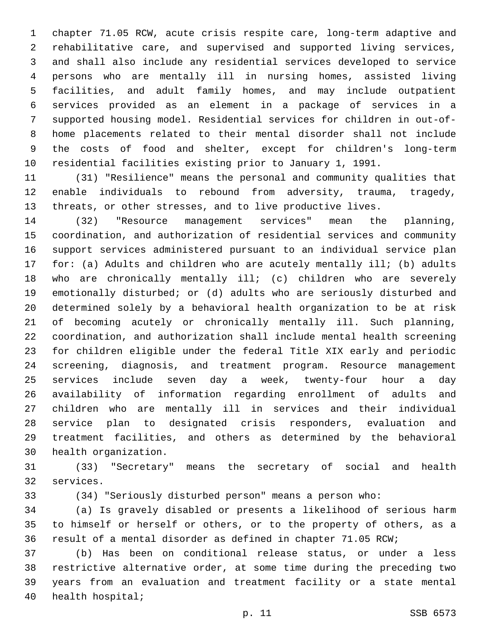chapter 71.05 RCW, acute crisis respite care, long-term adaptive and rehabilitative care, and supervised and supported living services, and shall also include any residential services developed to service persons who are mentally ill in nursing homes, assisted living facilities, and adult family homes, and may include outpatient services provided as an element in a package of services in a supported housing model. Residential services for children in out-of- home placements related to their mental disorder shall not include the costs of food and shelter, except for children's long-term residential facilities existing prior to January 1, 1991.

 (31) "Resilience" means the personal and community qualities that enable individuals to rebound from adversity, trauma, tragedy, threats, or other stresses, and to live productive lives.

 (32) "Resource management services" mean the planning, coordination, and authorization of residential services and community support services administered pursuant to an individual service plan for: (a) Adults and children who are acutely mentally ill; (b) adults who are chronically mentally ill; (c) children who are severely emotionally disturbed; or (d) adults who are seriously disturbed and determined solely by a behavioral health organization to be at risk of becoming acutely or chronically mentally ill. Such planning, coordination, and authorization shall include mental health screening for children eligible under the federal Title XIX early and periodic screening, diagnosis, and treatment program. Resource management services include seven day a week, twenty-four hour a day availability of information regarding enrollment of adults and children who are mentally ill in services and their individual service plan to designated crisis responders, evaluation and treatment facilities, and others as determined by the behavioral 30 health organization.

 (33) "Secretary" means the secretary of social and health 32 services.

(34) "Seriously disturbed person" means a person who:

 (a) Is gravely disabled or presents a likelihood of serious harm to himself or herself or others, or to the property of others, as a result of a mental disorder as defined in chapter 71.05 RCW;

 (b) Has been on conditional release status, or under a less restrictive alternative order, at some time during the preceding two years from an evaluation and treatment facility or a state mental 40 health hospital;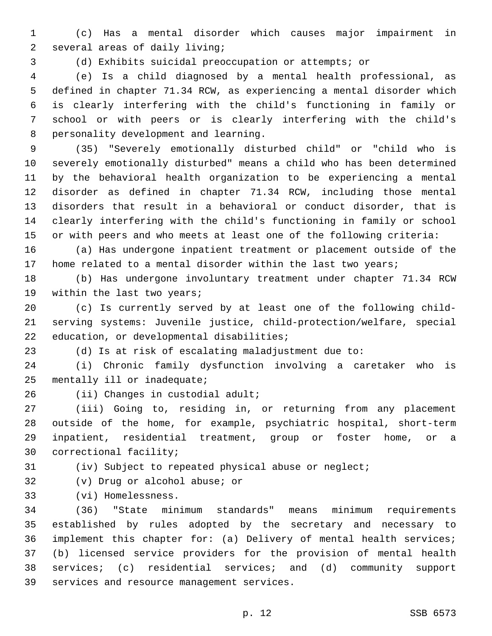(c) Has a mental disorder which causes major impairment in 2 several areas of daily living;

(d) Exhibits suicidal preoccupation or attempts; or

 (e) Is a child diagnosed by a mental health professional, as defined in chapter 71.34 RCW, as experiencing a mental disorder which is clearly interfering with the child's functioning in family or school or with peers or is clearly interfering with the child's 8 personality development and learning.

 (35) "Severely emotionally disturbed child" or "child who is severely emotionally disturbed" means a child who has been determined by the behavioral health organization to be experiencing a mental disorder as defined in chapter 71.34 RCW, including those mental disorders that result in a behavioral or conduct disorder, that is clearly interfering with the child's functioning in family or school or with peers and who meets at least one of the following criteria:

 (a) Has undergone inpatient treatment or placement outside of the home related to a mental disorder within the last two years;

 (b) Has undergone involuntary treatment under chapter 71.34 RCW 19 within the last two years;

 (c) Is currently served by at least one of the following child- serving systems: Juvenile justice, child-protection/welfare, special 22 education, or developmental disabilities;

(d) Is at risk of escalating maladjustment due to:

 (i) Chronic family dysfunction involving a caretaker who is mentally ill or inadequate;

(ii) Changes in custodial adult;

 (iii) Going to, residing in, or returning from any placement outside of the home, for example, psychiatric hospital, short-term inpatient, residential treatment, group or foster home, or a 30 correctional facility;

(iv) Subject to repeated physical abuse or neglect;

32 (v) Drug or alcohol abuse; or

(vi) Homelessness.33

 (36) "State minimum standards" means minimum requirements established by rules adopted by the secretary and necessary to implement this chapter for: (a) Delivery of mental health services; (b) licensed service providers for the provision of mental health services; (c) residential services; and (d) community support 39 services and resource management services.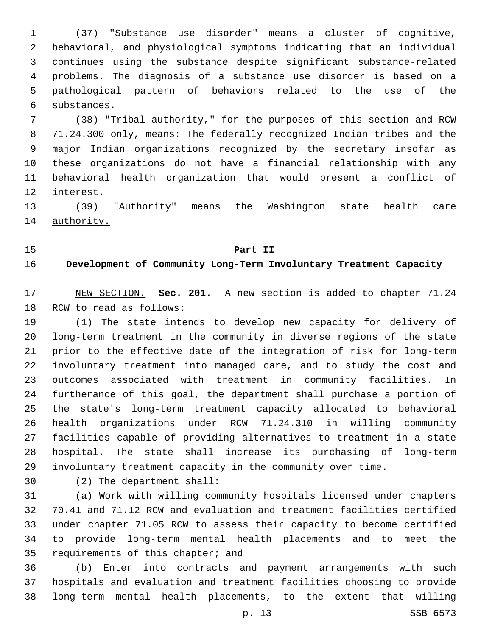(37) "Substance use disorder" means a cluster of cognitive, behavioral, and physiological symptoms indicating that an individual continues using the substance despite significant substance-related problems. The diagnosis of a substance use disorder is based on a pathological pattern of behaviors related to the use of the 6 substances.

 (38) "Tribal authority," for the purposes of this section and RCW 71.24.300 only, means: The federally recognized Indian tribes and the major Indian organizations recognized by the secretary insofar as these organizations do not have a financial relationship with any behavioral health organization that would present a conflict of 12 interest.

 (39) "Authority" means the Washington state health care authority.

### **Part II**

## **Development of Community Long-Term Involuntary Treatment Capacity**

 NEW SECTION. **Sec. 201.** A new section is added to chapter 71.24 18 RCW to read as follows:

 (1) The state intends to develop new capacity for delivery of long-term treatment in the community in diverse regions of the state prior to the effective date of the integration of risk for long-term involuntary treatment into managed care, and to study the cost and outcomes associated with treatment in community facilities. In furtherance of this goal, the department shall purchase a portion of the state's long-term treatment capacity allocated to behavioral health organizations under RCW 71.24.310 in willing community facilities capable of providing alternatives to treatment in a state hospital. The state shall increase its purchasing of long-term involuntary treatment capacity in the community over time.

(2) The department shall:30

 (a) Work with willing community hospitals licensed under chapters 70.41 and 71.12 RCW and evaluation and treatment facilities certified under chapter 71.05 RCW to assess their capacity to become certified to provide long-term mental health placements and to meet the 35 requirements of this chapter; and

 (b) Enter into contracts and payment arrangements with such hospitals and evaluation and treatment facilities choosing to provide long-term mental health placements, to the extent that willing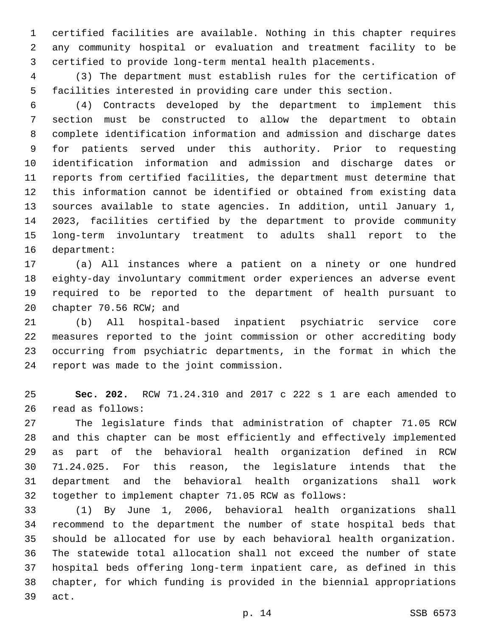certified facilities are available. Nothing in this chapter requires any community hospital or evaluation and treatment facility to be certified to provide long-term mental health placements.

 (3) The department must establish rules for the certification of facilities interested in providing care under this section.

 (4) Contracts developed by the department to implement this section must be constructed to allow the department to obtain complete identification information and admission and discharge dates for patients served under this authority. Prior to requesting identification information and admission and discharge dates or reports from certified facilities, the department must determine that this information cannot be identified or obtained from existing data sources available to state agencies. In addition, until January 1, 2023, facilities certified by the department to provide community long-term involuntary treatment to adults shall report to the 16 department:

 (a) All instances where a patient on a ninety or one hundred eighty-day involuntary commitment order experiences an adverse event required to be reported to the department of health pursuant to 20 chapter 70.56 RCW; and

 (b) All hospital-based inpatient psychiatric service core measures reported to the joint commission or other accrediting body occurring from psychiatric departments, in the format in which the 24 report was made to the joint commission.

 **Sec. 202.** RCW 71.24.310 and 2017 c 222 s 1 are each amended to 26 read as follows:

 The legislature finds that administration of chapter 71.05 RCW and this chapter can be most efficiently and effectively implemented as part of the behavioral health organization defined in RCW 71.24.025. For this reason, the legislature intends that the department and the behavioral health organizations shall work together to implement chapter 71.05 RCW as follows:

 (1) By June 1, 2006, behavioral health organizations shall recommend to the department the number of state hospital beds that should be allocated for use by each behavioral health organization. The statewide total allocation shall not exceed the number of state hospital beds offering long-term inpatient care, as defined in this chapter, for which funding is provided in the biennial appropriations 39 act.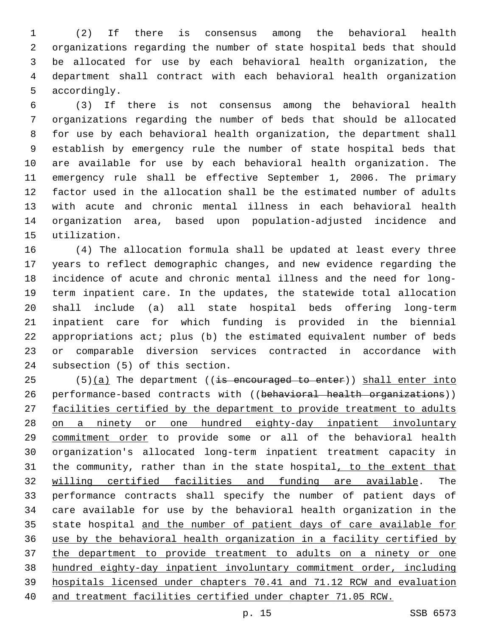(2) If there is consensus among the behavioral health organizations regarding the number of state hospital beds that should be allocated for use by each behavioral health organization, the department shall contract with each behavioral health organization 5 accordingly.

 (3) If there is not consensus among the behavioral health organizations regarding the number of beds that should be allocated for use by each behavioral health organization, the department shall establish by emergency rule the number of state hospital beds that are available for use by each behavioral health organization. The emergency rule shall be effective September 1, 2006. The primary factor used in the allocation shall be the estimated number of adults with acute and chronic mental illness in each behavioral health organization area, based upon population-adjusted incidence and 15 utilization.

 (4) The allocation formula shall be updated at least every three years to reflect demographic changes, and new evidence regarding the incidence of acute and chronic mental illness and the need for long- term inpatient care. In the updates, the statewide total allocation shall include (a) all state hospital beds offering long-term inpatient care for which funding is provided in the biennial appropriations act; plus (b) the estimated equivalent number of beds or comparable diversion services contracted in accordance with 24 subsection (5) of this section.

25 (5) $(a)$  The department ((is encouraged to enter)) shall enter into 26 performance-based contracts with ((behavioral health organizations)) facilities certified by the department to provide treatment to adults on a ninety or one hundred eighty-day inpatient involuntary commitment order to provide some or all of the behavioral health organization's allocated long-term inpatient treatment capacity in 31 the community, rather than in the state hospital, to the extent that willing certified facilities and funding are available. The performance contracts shall specify the number of patient days of care available for use by the behavioral health organization in the state hospital and the number of patient days of care available for use by the behavioral health organization in a facility certified by the department to provide treatment to adults on a ninety or one hundred eighty-day inpatient involuntary commitment order, including hospitals licensed under chapters 70.41 and 71.12 RCW and evaluation and treatment facilities certified under chapter 71.05 RCW.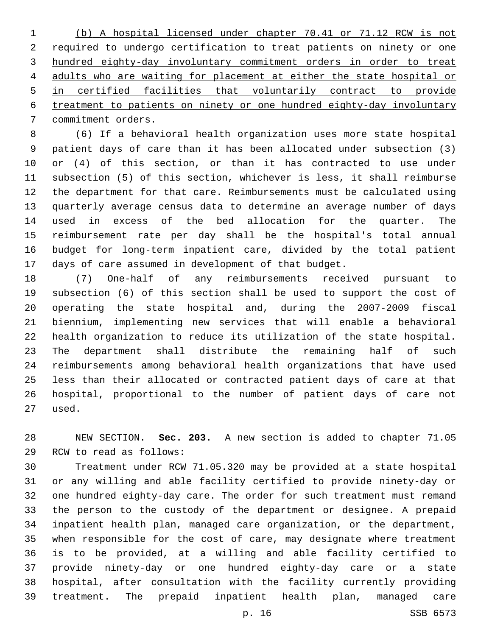(b) A hospital licensed under chapter 70.41 or 71.12 RCW is not required to undergo certification to treat patients on ninety or one hundred eighty-day involuntary commitment orders in order to treat adults who are waiting for placement at either the state hospital or in certified facilities that voluntarily contract to provide treatment to patients on ninety or one hundred eighty-day involuntary 7 commitment orders.

 (6) If a behavioral health organization uses more state hospital patient days of care than it has been allocated under subsection (3) or (4) of this section, or than it has contracted to use under subsection (5) of this section, whichever is less, it shall reimburse the department for that care. Reimbursements must be calculated using quarterly average census data to determine an average number of days used in excess of the bed allocation for the quarter. The reimbursement rate per day shall be the hospital's total annual budget for long-term inpatient care, divided by the total patient days of care assumed in development of that budget.

 (7) One-half of any reimbursements received pursuant to subsection (6) of this section shall be used to support the cost of operating the state hospital and, during the 2007-2009 fiscal biennium, implementing new services that will enable a behavioral health organization to reduce its utilization of the state hospital. The department shall distribute the remaining half of such reimbursements among behavioral health organizations that have used less than their allocated or contracted patient days of care at that hospital, proportional to the number of patient days of care not 27 used.

 NEW SECTION. **Sec. 203.** A new section is added to chapter 71.05 29 RCW to read as follows:

 Treatment under RCW 71.05.320 may be provided at a state hospital or any willing and able facility certified to provide ninety-day or one hundred eighty-day care. The order for such treatment must remand the person to the custody of the department or designee. A prepaid inpatient health plan, managed care organization, or the department, when responsible for the cost of care, may designate where treatment is to be provided, at a willing and able facility certified to provide ninety-day or one hundred eighty-day care or a state hospital, after consultation with the facility currently providing treatment. The prepaid inpatient health plan, managed care

p. 16 SSB 6573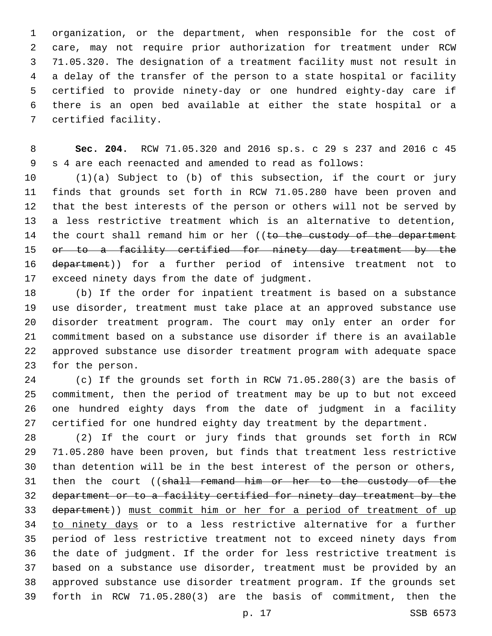organization, or the department, when responsible for the cost of care, may not require prior authorization for treatment under RCW 71.05.320. The designation of a treatment facility must not result in a delay of the transfer of the person to a state hospital or facility certified to provide ninety-day or one hundred eighty-day care if there is an open bed available at either the state hospital or a 7 certified facility.

 **Sec. 204.** RCW 71.05.320 and 2016 sp.s. c 29 s 237 and 2016 c 45 s 4 are each reenacted and amended to read as follows:

 (1)(a) Subject to (b) of this subsection, if the court or jury finds that grounds set forth in RCW 71.05.280 have been proven and that the best interests of the person or others will not be served by a less restrictive treatment which is an alternative to detention, 14 the court shall remand him or her ((to the custody of the department 15 or to a facility certified for ninety day treatment by the department)) for a further period of intensive treatment not to 17 exceed ninety days from the date of judgment.

 (b) If the order for inpatient treatment is based on a substance use disorder, treatment must take place at an approved substance use disorder treatment program. The court may only enter an order for commitment based on a substance use disorder if there is an available approved substance use disorder treatment program with adequate space 23 for the person.

 (c) If the grounds set forth in RCW 71.05.280(3) are the basis of commitment, then the period of treatment may be up to but not exceed one hundred eighty days from the date of judgment in a facility certified for one hundred eighty day treatment by the department.

 (2) If the court or jury finds that grounds set forth in RCW 71.05.280 have been proven, but finds that treatment less restrictive than detention will be in the best interest of the person or others, 31 then the court ((shall remand him or her to the custody of the department or to a facility certified for ninety day treatment by the department)) must commit him or her for a period of treatment of up 34 to ninety days or to a less restrictive alternative for a further period of less restrictive treatment not to exceed ninety days from the date of judgment. If the order for less restrictive treatment is based on a substance use disorder, treatment must be provided by an approved substance use disorder treatment program. If the grounds set forth in RCW 71.05.280(3) are the basis of commitment, then the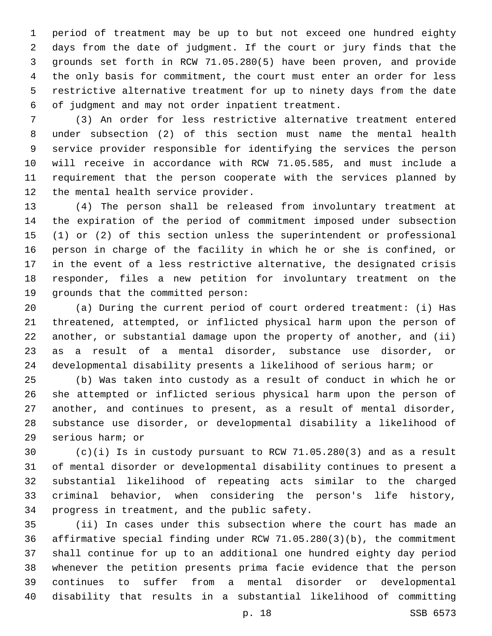period of treatment may be up to but not exceed one hundred eighty days from the date of judgment. If the court or jury finds that the grounds set forth in RCW 71.05.280(5) have been proven, and provide the only basis for commitment, the court must enter an order for less restrictive alternative treatment for up to ninety days from the date 6 of judgment and may not order inpatient treatment.

 (3) An order for less restrictive alternative treatment entered under subsection (2) of this section must name the mental health service provider responsible for identifying the services the person will receive in accordance with RCW 71.05.585, and must include a requirement that the person cooperate with the services planned by 12 the mental health service provider.

 (4) The person shall be released from involuntary treatment at the expiration of the period of commitment imposed under subsection (1) or (2) of this section unless the superintendent or professional person in charge of the facility in which he or she is confined, or in the event of a less restrictive alternative, the designated crisis responder, files a new petition for involuntary treatment on the 19 grounds that the committed person:

 (a) During the current period of court ordered treatment: (i) Has threatened, attempted, or inflicted physical harm upon the person of another, or substantial damage upon the property of another, and (ii) as a result of a mental disorder, substance use disorder, or developmental disability presents a likelihood of serious harm; or

 (b) Was taken into custody as a result of conduct in which he or she attempted or inflicted serious physical harm upon the person of another, and continues to present, as a result of mental disorder, substance use disorder, or developmental disability a likelihood of 29 serious harm; or

 (c)(i) Is in custody pursuant to RCW 71.05.280(3) and as a result of mental disorder or developmental disability continues to present a substantial likelihood of repeating acts similar to the charged criminal behavior, when considering the person's life history, 34 progress in treatment, and the public safety.

 (ii) In cases under this subsection where the court has made an affirmative special finding under RCW 71.05.280(3)(b), the commitment shall continue for up to an additional one hundred eighty day period whenever the petition presents prima facie evidence that the person continues to suffer from a mental disorder or developmental disability that results in a substantial likelihood of committing

p. 18 SSB 6573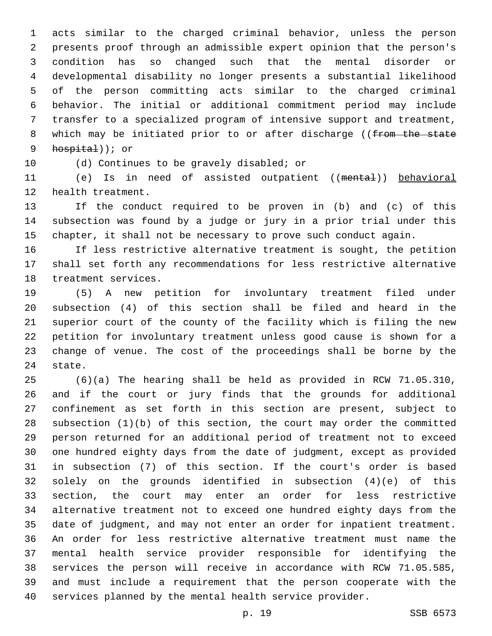acts similar to the charged criminal behavior, unless the person presents proof through an admissible expert opinion that the person's condition has so changed such that the mental disorder or developmental disability no longer presents a substantial likelihood of the person committing acts similar to the charged criminal behavior. The initial or additional commitment period may include transfer to a specialized program of intensive support and treatment, 8 which may be initiated prior to or after discharge ((from the state 9 hospital)); or

10 (d) Continues to be gravely disabled; or

 (e) Is in need of assisted outpatient ((mental)) behavioral 12 health treatment.

 If the conduct required to be proven in (b) and (c) of this subsection was found by a judge or jury in a prior trial under this chapter, it shall not be necessary to prove such conduct again.

 If less restrictive alternative treatment is sought, the petition shall set forth any recommendations for less restrictive alternative 18 treatment services.

 (5) A new petition for involuntary treatment filed under subsection (4) of this section shall be filed and heard in the superior court of the county of the facility which is filing the new petition for involuntary treatment unless good cause is shown for a change of venue. The cost of the proceedings shall be borne by the 24 state.

 (6)(a) The hearing shall be held as provided in RCW 71.05.310, and if the court or jury finds that the grounds for additional confinement as set forth in this section are present, subject to subsection (1)(b) of this section, the court may order the committed person returned for an additional period of treatment not to exceed one hundred eighty days from the date of judgment, except as provided in subsection (7) of this section. If the court's order is based solely on the grounds identified in subsection (4)(e) of this section, the court may enter an order for less restrictive alternative treatment not to exceed one hundred eighty days from the date of judgment, and may not enter an order for inpatient treatment. An order for less restrictive alternative treatment must name the mental health service provider responsible for identifying the services the person will receive in accordance with RCW 71.05.585, and must include a requirement that the person cooperate with the services planned by the mental health service provider.

p. 19 SSB 6573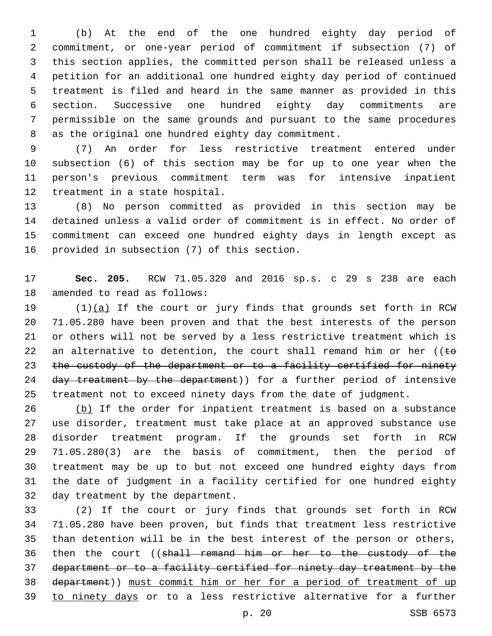(b) At the end of the one hundred eighty day period of commitment, or one-year period of commitment if subsection (7) of this section applies, the committed person shall be released unless a petition for an additional one hundred eighty day period of continued treatment is filed and heard in the same manner as provided in this section. Successive one hundred eighty day commitments are permissible on the same grounds and pursuant to the same procedures 8 as the original one hundred eighty day commitment.

 (7) An order for less restrictive treatment entered under subsection (6) of this section may be for up to one year when the person's previous commitment term was for intensive inpatient 12 treatment in a state hospital.

 (8) No person committed as provided in this section may be detained unless a valid order of commitment is in effect. No order of commitment can exceed one hundred eighty days in length except as 16 provided in subsection (7) of this section.

 **Sec. 205.** RCW 71.05.320 and 2016 sp.s. c 29 s 238 are each 18 amended to read as follows:

19  $(1)(a)$  If the court or jury finds that grounds set forth in RCW 71.05.280 have been proven and that the best interests of the person or others will not be served by a less restrictive treatment which is 22 an alternative to detention, the court shall remand him or her ( $\epsilon$ 23 the custody of the department or to a facility certified for ninety 24 day treatment by the department)) for a further period of intensive treatment not to exceed ninety days from the date of judgment.

26 (b) If the order for inpatient treatment is based on a substance use disorder, treatment must take place at an approved substance use disorder treatment program. If the grounds set forth in RCW 71.05.280(3) are the basis of commitment, then the period of treatment may be up to but not exceed one hundred eighty days from the date of judgment in a facility certified for one hundred eighty 32 day treatment by the department.

 (2) If the court or jury finds that grounds set forth in RCW 71.05.280 have been proven, but finds that treatment less restrictive than detention will be in the best interest of the person or others, 36 then the court ((shall remand him or her to the custody of the department or to a facility certified for ninety day treatment by the department)) must commit him or her for a period of treatment of up to ninety days or to a less restrictive alternative for a further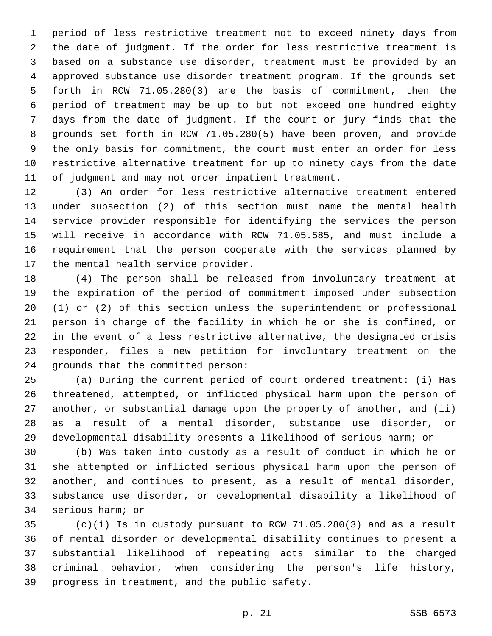period of less restrictive treatment not to exceed ninety days from the date of judgment. If the order for less restrictive treatment is based on a substance use disorder, treatment must be provided by an approved substance use disorder treatment program. If the grounds set forth in RCW 71.05.280(3) are the basis of commitment, then the period of treatment may be up to but not exceed one hundred eighty days from the date of judgment. If the court or jury finds that the grounds set forth in RCW 71.05.280(5) have been proven, and provide the only basis for commitment, the court must enter an order for less restrictive alternative treatment for up to ninety days from the date of judgment and may not order inpatient treatment.

 (3) An order for less restrictive alternative treatment entered under subsection (2) of this section must name the mental health service provider responsible for identifying the services the person will receive in accordance with RCW 71.05.585, and must include a requirement that the person cooperate with the services planned by 17 the mental health service provider.

 (4) The person shall be released from involuntary treatment at the expiration of the period of commitment imposed under subsection (1) or (2) of this section unless the superintendent or professional person in charge of the facility in which he or she is confined, or in the event of a less restrictive alternative, the designated crisis responder, files a new petition for involuntary treatment on the 24 grounds that the committed person:

 (a) During the current period of court ordered treatment: (i) Has threatened, attempted, or inflicted physical harm upon the person of another, or substantial damage upon the property of another, and (ii) as a result of a mental disorder, substance use disorder, or developmental disability presents a likelihood of serious harm; or

 (b) Was taken into custody as a result of conduct in which he or she attempted or inflicted serious physical harm upon the person of another, and continues to present, as a result of mental disorder, substance use disorder, or developmental disability a likelihood of 34 serious harm; or

 (c)(i) Is in custody pursuant to RCW 71.05.280(3) and as a result of mental disorder or developmental disability continues to present a substantial likelihood of repeating acts similar to the charged criminal behavior, when considering the person's life history, 39 progress in treatment, and the public safety.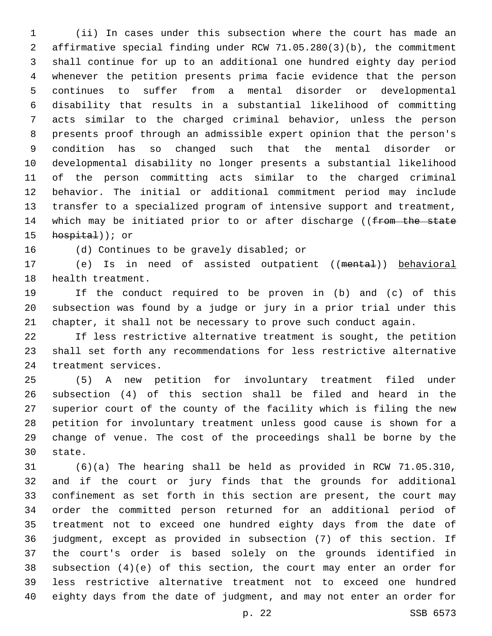(ii) In cases under this subsection where the court has made an affirmative special finding under RCW 71.05.280(3)(b), the commitment shall continue for up to an additional one hundred eighty day period whenever the petition presents prima facie evidence that the person continues to suffer from a mental disorder or developmental disability that results in a substantial likelihood of committing acts similar to the charged criminal behavior, unless the person presents proof through an admissible expert opinion that the person's condition has so changed such that the mental disorder or developmental disability no longer presents a substantial likelihood of the person committing acts similar to the charged criminal behavior. The initial or additional commitment period may include transfer to a specialized program of intensive support and treatment, 14 which may be initiated prior to or after discharge ((from the state  $h$ ospital)); or

16 (d) Continues to be gravely disabled; or

17 (e) Is in need of assisted outpatient ((mental)) behavioral 18 health treatment.

 If the conduct required to be proven in (b) and (c) of this subsection was found by a judge or jury in a prior trial under this chapter, it shall not be necessary to prove such conduct again.

 If less restrictive alternative treatment is sought, the petition shall set forth any recommendations for less restrictive alternative 24 treatment services.

 (5) A new petition for involuntary treatment filed under subsection (4) of this section shall be filed and heard in the superior court of the county of the facility which is filing the new petition for involuntary treatment unless good cause is shown for a change of venue. The cost of the proceedings shall be borne by the 30 state.

 (6)(a) The hearing shall be held as provided in RCW 71.05.310, and if the court or jury finds that the grounds for additional confinement as set forth in this section are present, the court may order the committed person returned for an additional period of treatment not to exceed one hundred eighty days from the date of judgment, except as provided in subsection (7) of this section. If the court's order is based solely on the grounds identified in subsection (4)(e) of this section, the court may enter an order for less restrictive alternative treatment not to exceed one hundred eighty days from the date of judgment, and may not enter an order for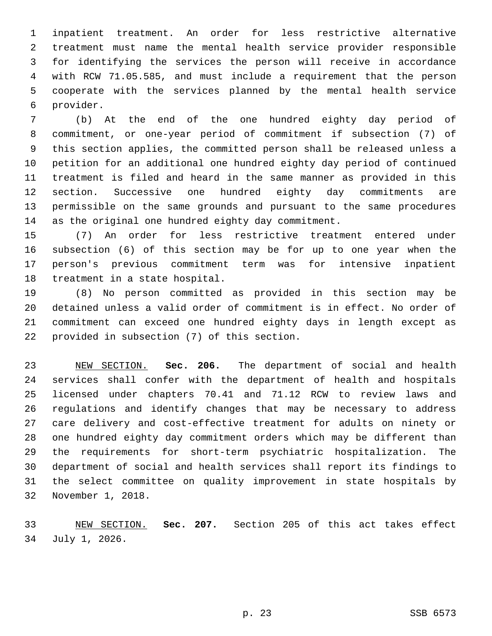inpatient treatment. An order for less restrictive alternative treatment must name the mental health service provider responsible for identifying the services the person will receive in accordance with RCW 71.05.585, and must include a requirement that the person cooperate with the services planned by the mental health service provider.6

 (b) At the end of the one hundred eighty day period of commitment, or one-year period of commitment if subsection (7) of this section applies, the committed person shall be released unless a petition for an additional one hundred eighty day period of continued treatment is filed and heard in the same manner as provided in this section. Successive one hundred eighty day commitments are permissible on the same grounds and pursuant to the same procedures as the original one hundred eighty day commitment.

 (7) An order for less restrictive treatment entered under subsection (6) of this section may be for up to one year when the person's previous commitment term was for intensive inpatient 18 treatment in a state hospital.

 (8) No person committed as provided in this section may be detained unless a valid order of commitment is in effect. No order of commitment can exceed one hundred eighty days in length except as 22 provided in subsection (7) of this section.

 NEW SECTION. **Sec. 206.** The department of social and health services shall confer with the department of health and hospitals licensed under chapters 70.41 and 71.12 RCW to review laws and regulations and identify changes that may be necessary to address care delivery and cost-effective treatment for adults on ninety or one hundred eighty day commitment orders which may be different than the requirements for short-term psychiatric hospitalization. The department of social and health services shall report its findings to the select committee on quality improvement in state hospitals by November 1, 2018.

 NEW SECTION. **Sec. 207.** Section 205 of this act takes effect July 1, 2026.